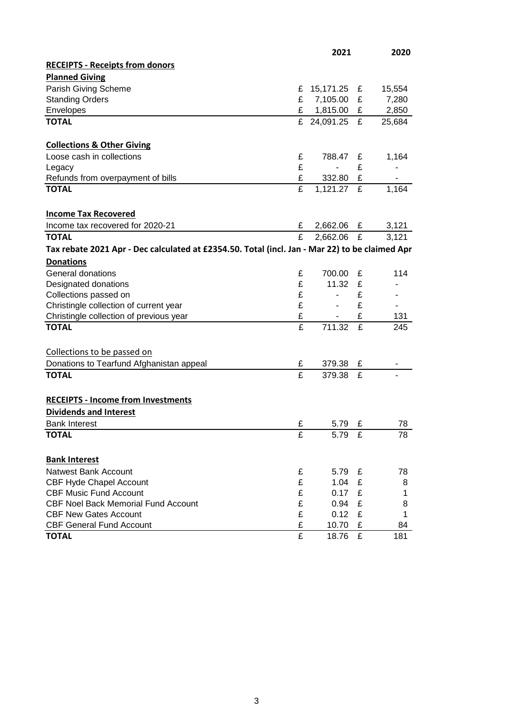|                                                                                                |                         | 2021        |   | 2020           |
|------------------------------------------------------------------------------------------------|-------------------------|-------------|---|----------------|
| <b>RECEIPTS - Receipts from donors</b>                                                         |                         |             |   |                |
| <b>Planned Giving</b>                                                                          |                         |             |   |                |
| Parish Giving Scheme                                                                           | £                       | 15,171.25   | £ | 15,554         |
| <b>Standing Orders</b>                                                                         | £                       | 7,105.00    | £ | 7,280          |
| Envelopes                                                                                      | £                       | 1,815.00    | £ | 2,850          |
| <b>TOTAL</b>                                                                                   |                         | £ 24,091.25 | £ | 25,684         |
|                                                                                                |                         |             |   |                |
| <b>Collections &amp; Other Giving</b>                                                          |                         |             |   |                |
| Loose cash in collections                                                                      | £                       | 788.47      | £ | 1,164          |
| Legacy                                                                                         | £                       |             | £ |                |
| Refunds from overpayment of bills                                                              | £                       | 332.80      | £ |                |
| <b>TOTAL</b>                                                                                   | £                       | 1,121.27    | £ | 1,164          |
| <b>Income Tax Recovered</b>                                                                    |                         |             |   |                |
| Income tax recovered for 2020-21                                                               | £                       | 2,662.06    | £ | 3,121          |
| <b>TOTAL</b>                                                                                   | £                       | 2,662.06    | £ | 3,121          |
| Tax rebate 2021 Apr - Dec calculated at £2354.50. Total (incl. Jan - Mar 22) to be claimed Apr |                         |             |   |                |
| <b>Donations</b>                                                                               |                         |             |   |                |
| General donations                                                                              | £                       | 700.00      | £ | 114            |
| Designated donations                                                                           | £                       | 11.32       | £ |                |
| Collections passed on                                                                          | £                       | ٠           | £ |                |
| Christingle collection of current year                                                         | £                       | ٠           | £ | $\blacksquare$ |
| Christingle collection of previous year                                                        | £                       |             | £ | 131            |
| <b>TOTAL</b>                                                                                   | $\overline{\mathbf{f}}$ | 711.32      | £ | 245            |
|                                                                                                |                         |             |   |                |
| Collections to be passed on                                                                    |                         |             |   |                |
| Donations to Tearfund Afghanistan appeal                                                       | £                       | 379.38      | £ |                |
| <b>TOTAL</b>                                                                                   | £                       | 379.38      | £ |                |
|                                                                                                |                         |             |   |                |
| <b>RECEIPTS - Income from Investments</b>                                                      |                         |             |   |                |
| <b>Dividends and Interest</b>                                                                  |                         |             |   |                |
| <b>Bank Interest</b>                                                                           | £                       | 5.79        | £ | 78             |
| <b>TOTAL</b>                                                                                   | £                       | 5.79        | £ | 78             |
| <b>Bank Interest</b>                                                                           |                         |             |   |                |
| <b>Natwest Bank Account</b>                                                                    | £                       | 5.79        | £ | 78             |
| <b>CBF Hyde Chapel Account</b>                                                                 | £                       | 1.04        | £ | 8              |
| <b>CBF Music Fund Account</b>                                                                  | £                       | 0.17        | £ | 1              |
| <b>CBF Noel Back Memorial Fund Account</b>                                                     | £                       | 0.94        | £ | 8              |
| <b>CBF New Gates Account</b>                                                                   | £                       | 0.12        | £ | 1              |
| <b>CBF General Fund Account</b>                                                                | £                       | 10.70       | £ | 84             |
| <b>TOTAL</b>                                                                                   | £                       | 18.76       | £ | 181            |
|                                                                                                |                         |             |   |                |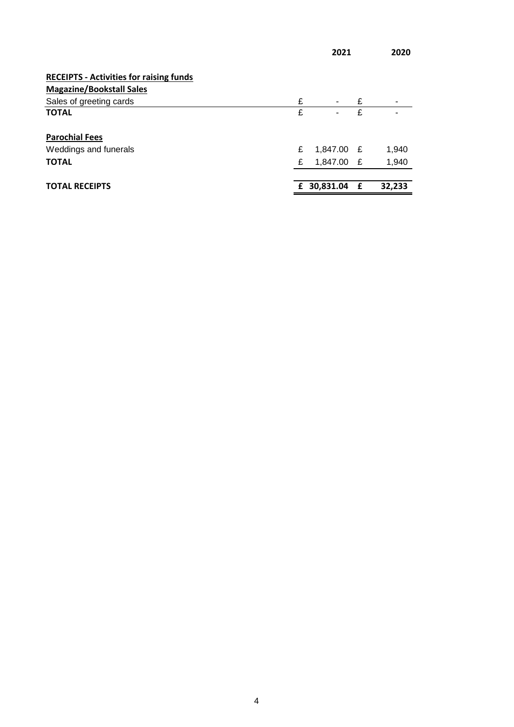|                                                |   | 2021        |   | 2020   |
|------------------------------------------------|---|-------------|---|--------|
| <b>RECEIPTS - Activities for raising funds</b> |   |             |   |        |
| <b>Magazine/Bookstall Sales</b>                |   |             |   |        |
| Sales of greeting cards                        | £ | $\sim$      | £ |        |
| <b>TOTAL</b>                                   | £ |             | £ |        |
| <b>Parochial Fees</b>                          |   |             |   |        |
| Weddings and funerals                          | £ | 1,847.00 £  |   | 1,940  |
| <b>TOTAL</b>                                   | £ | 1,847.00 £  |   | 1,940  |
| <b>TOTAL RECEIPTS</b>                          |   | £ 30,831.04 | £ | 32,233 |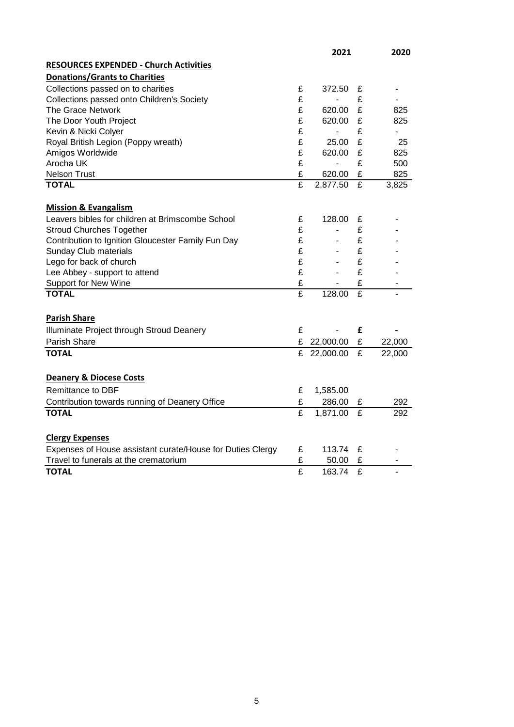|                                                            |                         | 2021           |   | 2020   |
|------------------------------------------------------------|-------------------------|----------------|---|--------|
| <b>RESOURCES EXPENDED - Church Activities</b>              |                         |                |   |        |
| <b>Donations/Grants to Charities</b>                       |                         |                |   |        |
| Collections passed on to charities                         | £                       | 372.50         | £ |        |
| Collections passed onto Children's Society                 | £                       |                | £ |        |
| <b>The Grace Network</b>                                   | £                       | 620.00         | £ | 825    |
| The Door Youth Project                                     | £                       | 620.00         | £ | 825    |
| Kevin & Nicki Colyer                                       | £                       | ÷,             | £ | ä,     |
| Royal British Legion (Poppy wreath)                        | £                       | 25.00          | £ | 25     |
| Amigos Worldwide                                           | £                       | 620.00         | £ | 825    |
| Arocha UK                                                  | £                       | $\overline{a}$ | £ | 500    |
| <b>Nelson Trust</b>                                        | £                       | 620.00         | £ | 825    |
| <b>TOTAL</b>                                               | £                       | 2,877.50       | £ | 3,825  |
| <b>Mission &amp; Evangalism</b>                            |                         |                |   |        |
| Leavers bibles for children at Brimscombe School           | £                       | 128.00         | £ |        |
| <b>Stroud Churches Together</b>                            | £                       | ÷,             | £ |        |
| Contribution to Ignition Gloucester Family Fun Day         | £                       | ä,             | £ |        |
| Sunday Club materials                                      | £                       | ٠              | £ |        |
| Lego for back of church                                    | £                       |                | £ |        |
| Lee Abbey - support to attend                              | £                       | $\overline{a}$ | £ |        |
| Support for New Wine                                       | £                       |                | £ |        |
| <b>TOTAL</b>                                               | $\overline{\mathrm{E}}$ | 128.00         | £ |        |
|                                                            |                         |                |   |        |
| <b>Parish Share</b>                                        |                         |                |   |        |
| Illuminate Project through Stroud Deanery                  | £                       |                | £ |        |
| Parish Share                                               | £                       | 22,000.00      | £ | 22,000 |
| <b>TOTAL</b>                                               | £                       | 22,000.00      | £ | 22,000 |
| <b>Deanery &amp; Diocese Costs</b>                         |                         |                |   |        |
| Remittance to DBF                                          | £                       | 1,585.00       |   |        |
| Contribution towards running of Deanery Office             | £                       | 286.00         | £ | 292    |
| <b>TOTAL</b>                                               | $\overline{\mathbf{f}}$ | 1,871.00       | £ | 292    |
|                                                            |                         |                |   |        |
| <b>Clergy Expenses</b>                                     |                         |                |   |        |
| Expenses of House assistant curate/House for Duties Clergy | £                       | 113.74         | £ |        |
| Travel to funerals at the crematorium                      | £                       | 50.00          | £ | ۰      |
| <b>TOTAL</b>                                               | £                       | 163.74         | £ |        |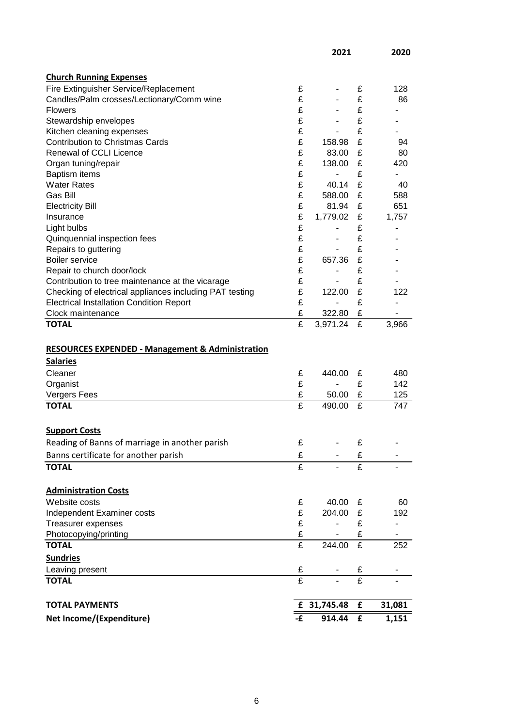|                                                             |    | 2021           |   | 2020                     |
|-------------------------------------------------------------|----|----------------|---|--------------------------|
|                                                             |    |                |   |                          |
| <b>Church Running Expenses</b>                              |    |                |   |                          |
| Fire Extinguisher Service/Replacement                       | £  | -              | £ | 128                      |
| Candles/Palm crosses/Lectionary/Comm wine                   | £  | ä,             | £ | 86                       |
| <b>Flowers</b>                                              | £  |                | £ |                          |
| Stewardship envelopes                                       | £  |                | £ |                          |
| Kitchen cleaning expenses                                   | £  | $\overline{a}$ | £ |                          |
| <b>Contribution to Christmas Cards</b>                      | £  | 158.98         | £ | 94                       |
| Renewal of CCLI Licence                                     | £  | 83.00          | £ | 80                       |
| Organ tuning/repair                                         | £  | 138.00         | £ | 420                      |
| <b>Baptism items</b>                                        | £  |                | £ | $\overline{\phantom{a}}$ |
| <b>Water Rates</b>                                          | £  | 40.14          | £ | 40                       |
| <b>Gas Bill</b>                                             | £  | 588.00         | £ | 588                      |
| <b>Electricity Bill</b>                                     | £  | 81.94          | £ | 651                      |
| Insurance                                                   | £  | 1,779.02       | £ | 1,757                    |
| Light bulbs                                                 | £  | -              | £ | ٠                        |
| Quinquennial inspection fees                                | £  | -              | £ |                          |
| Repairs to guttering                                        | £  | ٠              | £ |                          |
| <b>Boiler service</b>                                       | £  | 657.36         | £ |                          |
| Repair to church door/lock                                  | £  | ٠              | £ |                          |
| Contribution to tree maintenance at the vicarage            | £  | $\overline{a}$ | £ |                          |
| Checking of electrical appliances including PAT testing     | £  | 122.00         | £ | 122                      |
| <b>Electrical Installation Condition Report</b>             | £  | $\overline{a}$ | £ |                          |
| Clock maintenance                                           | £  | 322.80         | £ |                          |
| <b>TOTAL</b>                                                | £  | 3,971.24       | £ | 3,966                    |
|                                                             |    |                |   |                          |
| <b>RESOURCES EXPENDED - Management &amp; Administration</b> |    |                |   |                          |
| <b>Salaries</b>                                             |    |                |   |                          |
| Cleaner                                                     | £  | 440.00         | £ | 480                      |
| Organist                                                    | £  |                | £ | 142                      |
| Vergers Fees                                                | £  | 50.00          | £ | 125                      |
| <b>TOTAL</b>                                                | £  | 490.00         | £ | 747                      |
|                                                             |    |                |   |                          |
| <b>Support Costs</b>                                        |    |                |   |                          |
| Reading of Banns of marriage in another parish              | £  |                | £ |                          |
| Banns certificate for another parish                        | £  |                | £ |                          |
| <b>TOTAL</b>                                                | £  |                | £ |                          |
| <b>Administration Costs</b>                                 |    |                |   |                          |
| Website costs                                               | £  | 40.00          | £ | 60                       |
| Independent Examiner costs                                  | £  | 204.00         | £ | 192                      |
| Treasurer expenses                                          | £  |                | £ | $\overline{\phantom{a}}$ |
| Photocopying/printing                                       | £  |                | £ |                          |
| <b>TOTAL</b>                                                | £  | 244.00         | £ | 252                      |
|                                                             |    |                |   |                          |
| <b>Sundries</b>                                             |    |                |   |                          |
| Leaving present                                             | £  | ۰              | £ | ٠                        |
| <b>TOTAL</b>                                                | £  | $\overline{a}$ | £ |                          |
| <b>TOTAL PAYMENTS</b>                                       |    | £ 31,745.48    | £ | 31,081                   |
| Net Income/(Expenditure)                                    | -£ | 914.44         | £ | 1,151                    |